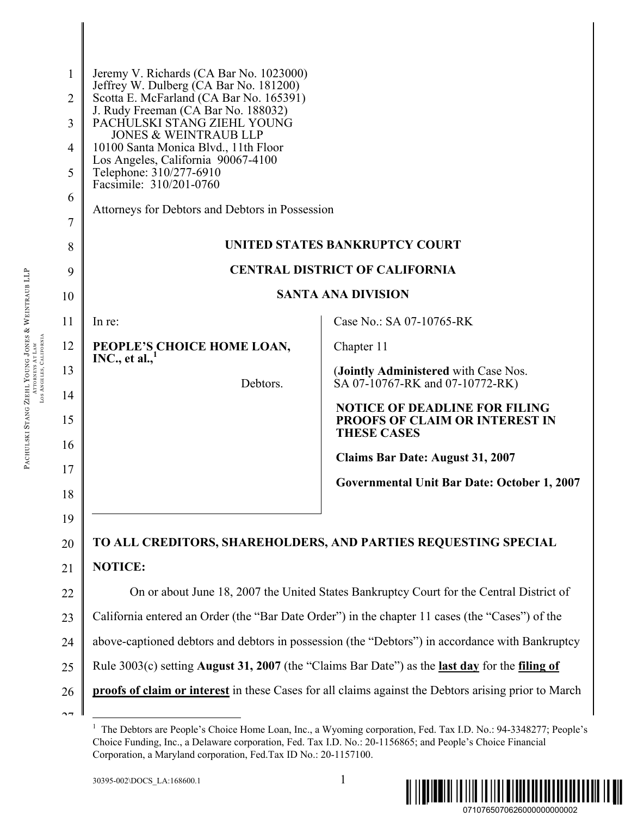| Case No.: SA 07-10765-RK                                                                                              |  |  |
|-----------------------------------------------------------------------------------------------------------------------|--|--|
|                                                                                                                       |  |  |
| (Jointly Administered with Case Nos.<br>SA 07-10767-RK and 07-10772-RK)                                               |  |  |
| <b>NOTICE OF DEADLINE FOR FILING</b><br>PROOFS OF CLAIM OR INTEREST IN                                                |  |  |
| <b>Claims Bar Date: August 31, 2007</b>                                                                               |  |  |
| <b>Governmental Unit Bar Date: October 1, 2007</b>                                                                    |  |  |
|                                                                                                                       |  |  |
| TO ALL CREDITORS, SHAREHOLDERS, AND PARTIES REQUESTING SPECIAL                                                        |  |  |
|                                                                                                                       |  |  |
| On or about June 18, 2007 the United States Bankruptcy Court for the Central District of                              |  |  |
| California entered an Order (the "Bar Date Order") in the chapter 11 cases (the "Cases") of the                       |  |  |
| above-captioned debtors and debtors in possession (the "Debtors") in accordance with Bankruptcy                       |  |  |
| Rule $3003(c)$ setting <b>August 31, 2007</b> (the "Claims Bar Date") as the <b>last day</b> for the <b>filing of</b> |  |  |
| proofs of claim or interest in these Cases for all claims against the Debtors arising prior to March                  |  |  |
|                                                                                                                       |  |  |

PACHULSKI STANG ZIEHL

YOUNG JONES

ATTORNEYS AT LA W LOS ANGELES, CALIFORNIA

&

WEINTRAUB LLP



<sup>&</sup>lt;sup>1</sup> The Debtors are People's Choice Home Loan, Inc., a Wyoming corporation, Fed. Tax I.D. No.: 94-3348277; People's Choice Funding, Inc., a Delaware corporation, Fed. Tax I.D. No.: 20-1156865; and People's Choice Financial Corporation, a Maryland corporation, Fed.Tax ID No.: 20-1157100.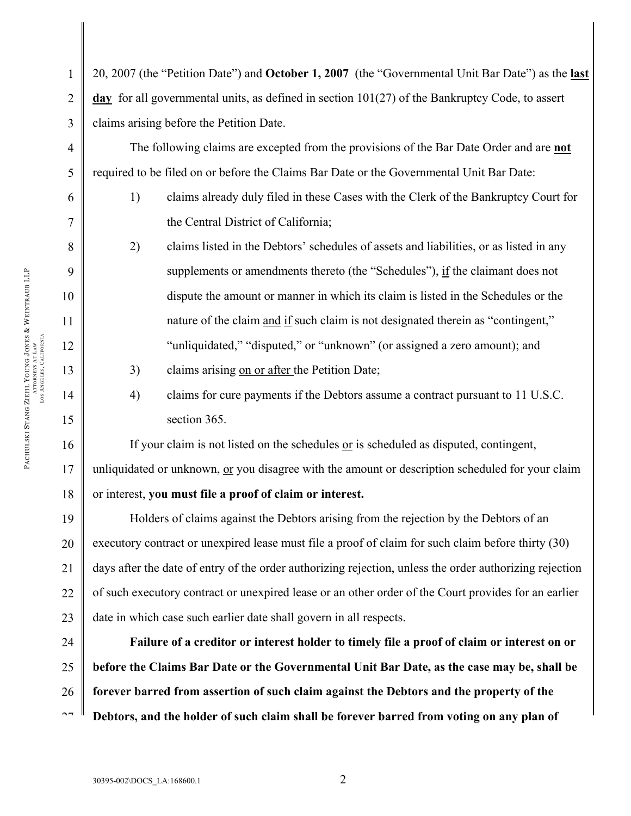20, 2007 (the "Petition Date") and **October 1, 2007** (the "Governmental Unit Bar Date") as the **last day** for all governmental units, as defined in section 101(27) of the Bankruptcy Code, to assert claims arising before the Petition Date.

The following claims are excepted from the provisions of the Bar Date Order and are **not** required to be filed on or before the Claims Bar Date or the Governmental Unit Bar Date:

1) claims already duly filed in these Cases with the Clerk of the Bankruptcy Court for the Central District of California;

2) claims listed in the Debtors' schedules of assets and liabilities, or as listed in any supplements or amendments thereto (the "Schedules"), if the claimant does not dispute the amount or manner in which its claim is listed in the Schedules or the nature of the claim and if such claim is not designated therein as "contingent," "unliquidated," "disputed," or "unknown" (or assigned a zero amount); and

3) claims arising on or after the Petition Date;

4) claims for cure payments if the Debtors assume a contract pursuant to 11 U.S.C. section 365.

If your claim is not listed on the schedules or is scheduled as disputed, contingent, unliquidated or unknown, or you disagree with the amount or description scheduled for your claim or interest, **you must file a proof of claim or interest.** 

Holders of claims against the Debtors arising from the rejection by the Debtors of an executory contract or unexpired lease must file a proof of claim for such claim before thirty (30) days after the date of entry of the order authorizing rejection, unless the order authorizing rejection of such executory contract or unexpired lease or an other order of the Court provides for an earlier date in which case such earlier date shall govern in all respects.

24 25 26  $\sim$ **Failure of a creditor or interest holder to timely file a proof of claim or interest on or before the Claims Bar Date or the Governmental Unit Bar Date, as the case may be, shall be forever barred from assertion of such claim against the Debtors and the property of the Debtors, and the holder of such claim shall be forever barred from voting on any plan of** 

1

2

3

4

5

6

7

8

9

10

11

12

13

14

15

16

17

18

19

20

21

22

23